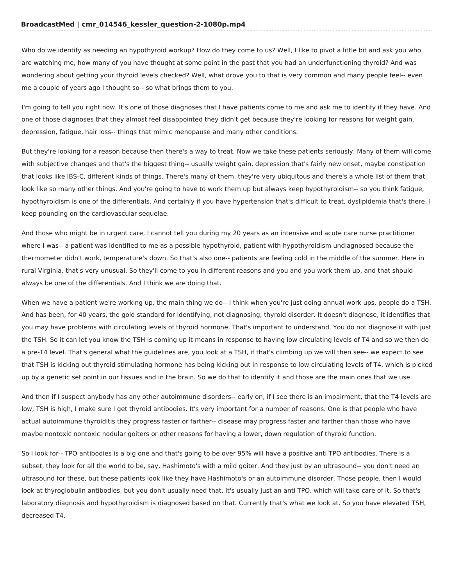Who do we identify as needing an hypothyroid workup? How do they come to us? Well, I like to pivot a little bit and ask you who are watching me, how many of you have thought at some point in the past that you had an underfunctioning thyroid? And was wondering about getting your thyroid levels checked? Well, what drove you to that is very common and many people feel-- even me a couple of years ago I thought so-- so what brings them to you.

I'm going to tell you right now. It's one of those diagnoses that I have patients come to me and ask me to identify if they have. And one of those diagnoses that they almost feel disappointed they didn't get because they're looking for reasons for weight gain, depression, fatigue, hair loss-- things that mimic menopause and many other conditions.

But they're looking for a reason because then there's a way to treat. Now we take these patients seriously. Many of them will come with subjective changes and that's the biggest thing-- usually weight gain, depression that's fairly new onset, maybe constipation that looks like IBS-C, different kinds of things. There's many of them, they're very ubiquitous and there's a whole list of them that look like so many other things. And you're going to have to work them up but always keep hypothyroidism-- so you think fatigue, hypothyroidism is one of the differentials. And certainly if you have hypertension that's difficult to treat, dyslipidemia that's there, I keep pounding on the cardiovascular sequelae.

And those who might be in urgent care, I cannot tell you during my 20 years as an intensive and acute care nurse practitioner where I was-- a patient was identified to me as a possible hypothyroid, patient with hypothyroidism undiagnosed because the thermometer didn't work, temperature's down. So that's also one-- patients are feeling cold in the middle of the summer. Here in rural Virginia, that's very unusual. So they'll come to you in different reasons and you and you work them up, and that should always be one of the differentials. And I think we are doing that.

When we have a patient we're working up, the main thing we do-- I think when you're just doing annual work ups, people do a TSH. And has been, for 40 years, the gold standard for identifying, not diagnosing, thyroid disorder. It doesn't diagnose, it identifies that you may have problems with circulating levels of thyroid hormone. That's important to understand. You do not diagnose it with just the TSH. So it can let you know the TSH is coming up it means in response to having low circulating levels of T4 and so we then do a pre-T4 level. That's general what the guidelines are, you look at a TSH, if that's climbing up we will then see-- we expect to see that TSH is kicking out thyroid stimulating hormone has being kicking out in response to low circulating levels of T4, which is picked up by a genetic set point in our tissues and in the brain. So we do that to identify it and those are the main ones that we use.

And then if I suspect anybody has any other autoimmune disorders-- early on, if I see there is an impairment, that the T4 levels are low, TSH is high, I make sure I get thyroid antibodies. It's very important for a number of reasons. One is that people who have actual autoimmune thyroiditis they progress faster or farther-- disease may progress faster and farther than those who have maybe nontoxic nontoxic nodular goiters or other reasons for having a lower, down regulation of thyroid function.

So I look for-- TPO antibodies is a big one and that's going to be over 95% will have a positive anti TPO antibodies. There is a subset, they look for all the world to be, say, Hashimoto's with a mild goiter. And they just by an ultrasound-- you don't need an ultrasound for these, but these patients look like they have Hashimoto's or an autoimmune disorder. Those people, then I would look at thyroglobulin antibodies, but you don't usually need that. It's usually just an anti TPO, which will take care of it. So that's laboratory diagnosis and hypothyroidism is diagnosed based on that. Currently that's what we look at. So you have elevated TSH, decreased T4.